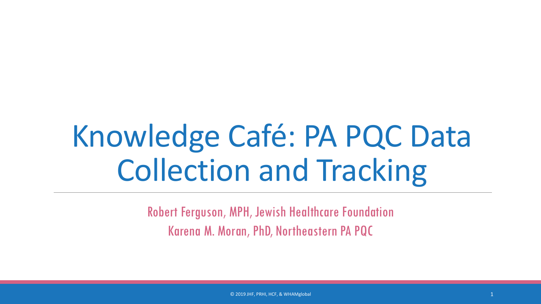# Knowledge Café: PA PQC Data Collection and Tracking

Robert Ferguson, MPH, Jewish Healthcare Foundation Karena M. Moran, PhD, Northeastern PA PQC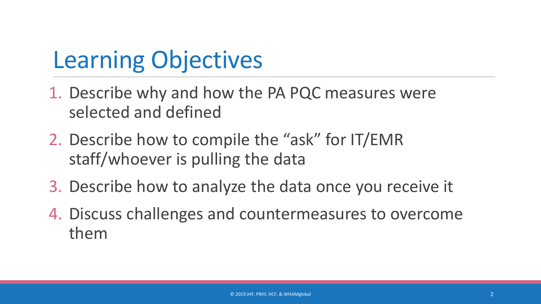## Learning Objectives

- 1. Describe why and how the PA PQC measures were selected and defined
- 2. Describe how to compile the "ask" for IT/EMR staff/whoever is pulling the data
- 3. Describe how to analyze the data once you receive it
- 4. Discuss challenges and countermeasures to overcome them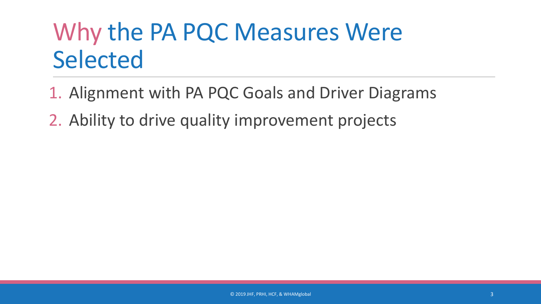## Why the PA PQC Measures Were Selected

- 1. Alignment with PA PQC Goals and Driver Diagrams
- 2. Ability to drive quality improvement projects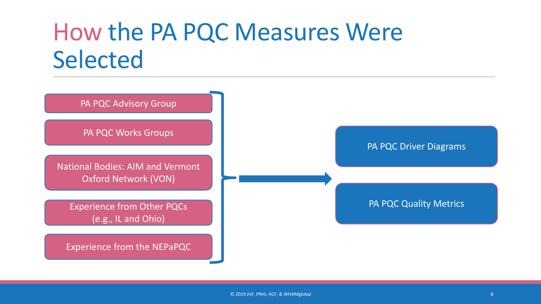### How the PA PQC Measures Were Selected



PA PQC Works Groups

National Bodies: AIM and Vermont Oxford Network (VON)

Experience from Other PQCs (e.g., IL and Ohio)

Experience from the NEPaPQC

PA PQC Driver Diagrams

PA PQC Quality Metrics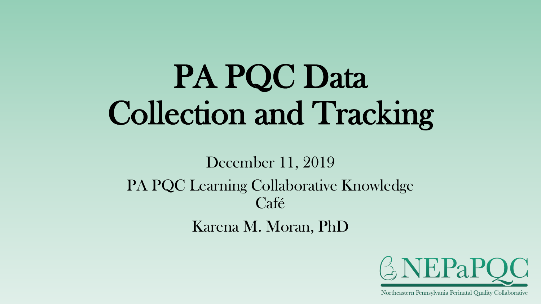# PA PQC Data Collection and Tracking

December 11, 2019 PA PQC Learning Collaborative Knowledge Café Karena M. Moran, PhD

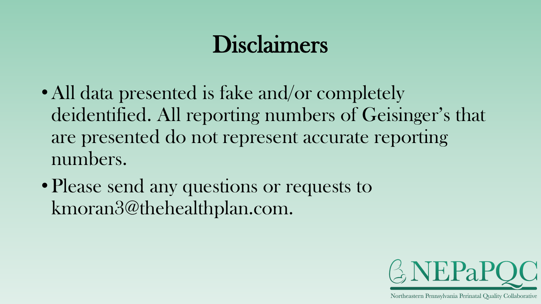### Disclaimers

- All data presented is fake and/or completely deidentified. All reporting numbers of Geisinger's that are presented do not represent accurate reporting numbers.
- Please send any questions or requests to kmoran3@thehealthplan.com.

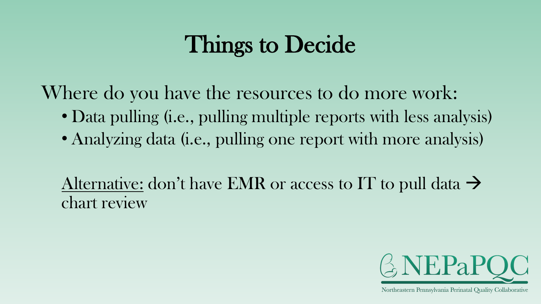### Things to Decide

Where do you have the resources to do more work:

- Data pulling (i.e., pulling multiple reports with less analysis)
- Analyzing data (i.e., pulling one report with more analysis)

Alternative: don't have EMR or access to IT to pull data  $\rightarrow$ chart review

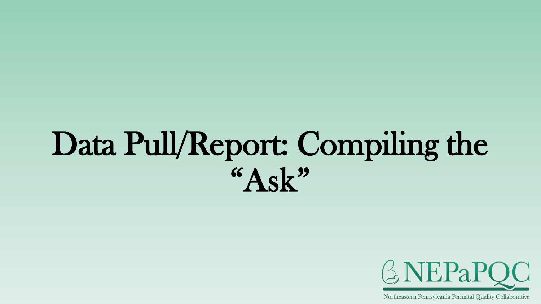# Data Pull/Report: Compiling the  $A$ sk"

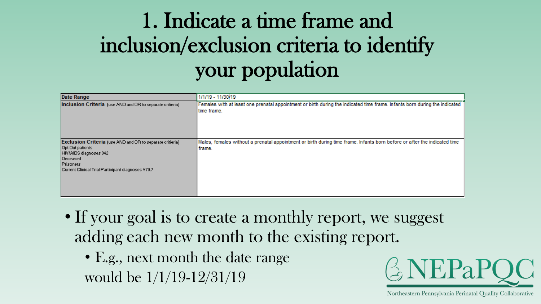### 1. Indicate a time frame and inclusion/exclusion criteria to identify your population

| Date Range                                                                                                                                                                                    | 1/1/19 - 11/30/19                                                                                                                         |
|-----------------------------------------------------------------------------------------------------------------------------------------------------------------------------------------------|-------------------------------------------------------------------------------------------------------------------------------------------|
| Inclusion Criteria (use AND and OR to separate critieria)                                                                                                                                     | Females with at least one prenatal appointment or birth during the indicated time frame. Infants born during the indicated<br>time frame. |
| <b>Exclusion Criteria</b> (use AND and OR to separate critieria)<br>Opt Out patients<br>HIV/AIDS diagnoses 042<br>Deceased<br>Prisoners<br>Current Clinical Trial Participant diagnoses V70.7 | Males, females without a prenatal appointment or birth during time frame. Infants born before or after the indicated time<br>frame.       |

- If your goal is to create a monthly report, we suggest adding each new month to the existing report.
	- E.g., next month the date range would be 1/1/19-12/31/19

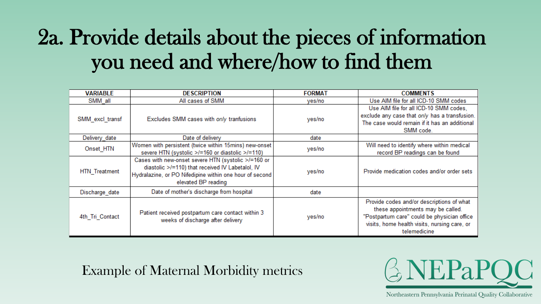### 2a. Provide details about the pieces of information you need and where/how to find them

| <b>VARIABLE</b>      | <b>DESCRIPTION</b>                                      | <b>FORMAT</b> | <b>COMMENTS</b>                               |
|----------------------|---------------------------------------------------------|---------------|-----------------------------------------------|
| SMM all              | All cases of SMM                                        | yes/no        | Use AIM file for all ICD-10 SMM codes         |
|                      |                                                         |               | Use AIM file for all ICD-10 SMM codes,        |
| SMM_excl_transf      | Excludes SMM cases with only tranfusions                | yes/no        | exclude any case that only has a transfusion. |
|                      |                                                         |               | The case would remain if it has an additional |
|                      |                                                         |               | SMM code.                                     |
| Delivery date        | Date of delivery                                        | date          |                                               |
| Onset HTN            | Women with persistent (twice within 15mins) new-onset   | yes/no        | Will need to identify where within medical    |
|                      | severe HTN (systolic >/=160 or diastolic >/=110)        |               | record BP readings can be found               |
|                      | Cases with new-onset severe HTN (systolic >/=160 or     |               |                                               |
|                      | diastolic >/=110) that received IV Labetalol, IV        |               | Provide medication codes and/or order sets    |
| <b>HTN</b> Treatment | Hydralazine, or PO Nifedipine within one hour of second | yes/no        |                                               |
|                      | elevated BP reading                                     |               |                                               |
| Discharge date       | Date of mother's discharge from hospital                | date          |                                               |
|                      |                                                         |               | Provide codes and/or descriptions of what     |
|                      |                                                         |               | these appointments may be called.             |
| 4th Tri Contact      | Patient received postpartum care contact within 3       | yes/no        | "Postpartum care" could be physician office   |
|                      | weeks of discharge after delivery                       |               | visits, home health visits, nursing care, or  |
|                      |                                                         |               | telemedicine                                  |

#### Example of Maternal Morbidity metrics

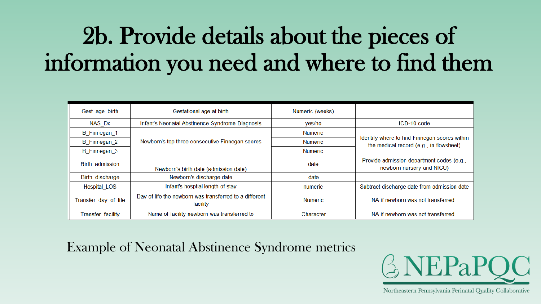## 2b. Provide details about the pieces of information you need and where to find them

| Gest age birth       | Gestational age at birth                                           | Numeric (weeks) |                                                                                          |
|----------------------|--------------------------------------------------------------------|-----------------|------------------------------------------------------------------------------------------|
| NAS Dx               | Infant's Neonatal Abstinence Syndrome Diagnosis                    | yes/no          | $ICD-10$ code                                                                            |
| B Finnegan 1         |                                                                    | <b>Numeric</b>  |                                                                                          |
| B_Finnegan_2         | Newborn's top three consecutive Finnegan scores                    | <b>Numeric</b>  | Identify where to find Finnegan scores within<br>the medical record (e.g., in flowsheet) |
| B Finnegan 3         |                                                                    | <b>Numeric</b>  |                                                                                          |
| Birth admission      | Newborn's birth date (admission date)                              | date            | Provide admission department codes (e.g.,<br>newborn nursery and NICU)                   |
| Birth discharge      | Newborn's discharge date                                           | date            |                                                                                          |
| <b>Hospital LOS</b>  | Infant's hosptial length of stay                                   | numeric         | Subtract discharge date from admission date                                              |
| Transfer day of life | Day of life the newborn was transferred to a different<br>facility | <b>Numeric</b>  | NA if newborn was not transferred.                                                       |
| Transfer_facility    | Name of facility newborn was transferred to                        | Character       | NA if newborn was not transferred.                                                       |

#### Example of Neonatal Abstinence Syndrome metrics

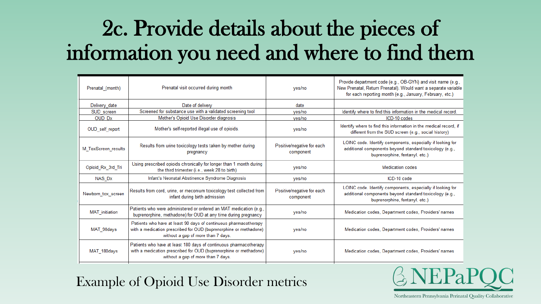#### 2c. Provide details about the pieces of information you need and where to find them

| Prenatal_(month)    | Prenatal visit occurred during month                                                                                                                                         | ves/no                                  | Provide department code (e.g., OB-GYN) and visit name (e.g.,<br>New Prenatal, Return Prenatal). Would want a separate variable<br>for each reporting month (e.g., January, February, etc.) |
|---------------------|------------------------------------------------------------------------------------------------------------------------------------------------------------------------------|-----------------------------------------|--------------------------------------------------------------------------------------------------------------------------------------------------------------------------------------------|
| Delivery_date       | Date of delivery                                                                                                                                                             | date                                    |                                                                                                                                                                                            |
| SUD screen          | Screened for substance use with a validated screening tool                                                                                                                   | yes/no                                  | Identify where to find this information in the medical record.                                                                                                                             |
| <b>OUD Dx</b>       | Mother's Opioid Use Disorder diagnosis                                                                                                                                       | ves/no                                  | ICD-10 codes                                                                                                                                                                               |
| OUD_self_report     | Mother's self-reported illegal use of opioids.                                                                                                                               | yes/no                                  | Identify where to find this information in the medical record, if<br>different from the SUD screen (e.g., social history)                                                                  |
| M ToxScreen results | Results from urine toxicology tests taken by mother during<br>pregnancy                                                                                                      | Positive/negative for each<br>component | LOINC code. Identify components, especially if looking for<br>additional components beyond standard toxicology (e.g.,<br>buprenorphine, fentanyl, etc.)                                    |
| Opioid_Rx_3rd_Tri   | Using prescribed opioids chronically for longer than 1 month during<br>the third trimester (i.e., week 28 to birth)                                                          | yes/no                                  | <b>Medication codes</b>                                                                                                                                                                    |
| NAS_Dx              | Infant's Neonatal Abstinence Syndrome Diagnosis                                                                                                                              | yes/no                                  | ICD-10 code                                                                                                                                                                                |
| Newborn tox screen  | Results from cord, urine, or meconium toxicology test collected from<br>infant during birth admission                                                                        | Positive/negative for each<br>component | LOINC code. Identify components, especially if looking for<br>additional components beyond standard toxicology (e.g.,<br>buprenorphine, fentanyl, etc.)                                    |
| MAT_initiation      | Patients who were administered or ordered an MAT medication (e.g.,<br>buprenorphine, methadone) for OUD at any time during pregnancy                                         | yes/no                                  | Medication codes, Department codes, Providers' names                                                                                                                                       |
| MAT 90days          | Patients who have at least 90 days of continuous pharmacotherapy<br>with a medication prescribed for OUD (buprenorphine or methadone)<br>without a gap of more than 7 days.  | yes/no                                  | Medication codes, Department codes, Providers' names                                                                                                                                       |
| MAT_180days         | Patients who have at least 180 days of continuous pharmacotherapy<br>with a medication prescribed for OUD (buprenorphine or methadone)<br>without a gap of more than 7 days. | yes/no                                  | Medication codes, Department codes, Providers' names                                                                                                                                       |

Example of Opioid Use Disorder metrics

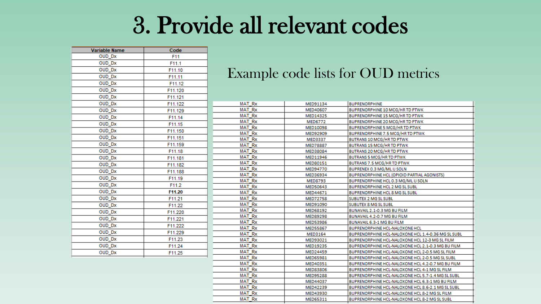#### 3. Provide all relevant codes

| Variable Name | Code    |
|---------------|---------|
| OUD Dx        | F11     |
| OUD_Dx        | F11.1   |
| OUD Dx        | F11.10  |
| OUD Dx        | F11.11  |
| OUD Dx        | F11.12  |
| <b>OUD Dx</b> | F11.120 |
| OUD Dx        | F11.121 |
| OUD_Dx        | F11.122 |
| OUD_Dx        | F11.129 |
| OUD_Dx        | F11.14  |
| OUD_Dx        | F11.15  |
| OUD_Dx        | F11.150 |
| OUD Dx        | F11.151 |
| OUD_Dx        | F11.159 |
| OUD Dx        | F11.18  |
| OUD_Dx        | F11.181 |
| OUD Dx        | F11.182 |
| OUD_Dx        | F11.188 |
| OUD Dx        | F11.19  |
| <b>OUD Dx</b> | F11.2   |
| OUD_Dx        | F11.20  |
| OUD_Dx        | F11.21  |
| OUD_Dx        | F11.22  |
| OUD_Dx        | F11.220 |
| OUD_Dx        | F11.221 |
| <b>OUD Dx</b> | F11.222 |
| <b>OUD Dx</b> | F11.229 |
| OUD Dx        | F11.23  |
| OUD_Dx        | F11.24  |
| OUD Dx        | F11.25  |

#### Example code lists for OUD metrics

| <b>MAT Rx</b> | MED91134        | <b>BUPRENORPHINE</b>                               |
|---------------|-----------------|----------------------------------------------------|
| <b>MAT Rx</b> | MED40607        | BUPRENORPHINE 10 MCG/HR TD PTWK                    |
| <b>MAT Rx</b> | MED14325        | <b>BUPRENORPHINE 15 MCG/HR TD PTWK</b>             |
| <b>MAT Rx</b> | <b>MED6772</b>  | BUPRENORPHINE 20 MCG/HR TD PTWK                    |
| <b>MAT Rx</b> | MED10098        | <b>BUPRENORPHINE 5 MCG/HR TD PTWK</b>              |
| <b>MAT Rx</b> | MED92909        | BUPRENORPHINE 7.5 MCG/HR TD PTWK                   |
| <b>MAT Rx</b> | <b>MED3337</b>  | BUTRANS 10 MCG/HR TD PTWK                          |
| <b>MAT Rx</b> | <b>MED78887</b> | BUTRANS 15 MCG/HR TD PTWK                          |
| <b>MAT Rx</b> | MED38084        | BUTRANS 20 MCG/HR TD PTWK                          |
| <b>MAT Rx</b> | MED11946        | <b>BUTRANS 5 MCG/HR TD PTWK</b>                    |
| <b>MAT Rx</b> | MED80151        | BUTRANS 7.5 MCG/HR TD PTWK                         |
| <b>MAT Rx</b> | MED94770        | BUPRENEX 0.3 MG/ML IJ SOLN                         |
| <b>MAT Rx</b> | MED36934        | BUPRENORPHINE HCL (OPIOID PARTIAL AGONISTS)        |
| <b>MAT Rx</b> | <b>MED8793</b>  | BUPRENORPHINE HCL 0.3 MG/ML IJ SOLN                |
| <b>MAT Rx</b> | MED50643        | <b>BUPRENORPHINE HCL 2 MG SL SUBL</b>              |
| <b>MAT Rx</b> | MED44671        | <b>BUPRENORPHINE HCL 8 MG SL SUBL</b>              |
| <b>MAT Rx</b> | <b>MED72758</b> | SUBUTEX 2 MG SL SUBL                               |
| <b>MAT Rx</b> | MED91090        | SUBUTEX 8 MG SL SUBL                               |
| <b>MAT Rx</b> | MED68192        | BUNAVAIL 2.1-0.3 MG BU FILM                        |
| <b>MAT Rx</b> | MED89298        | BUNAVAIL 4.2-0.7 MG BU FILM                        |
| <b>MAT Rx</b> | MED53986        | BUNAVAIL 6.3-1 MG BU FILM                          |
| <b>MAT Rx</b> | <b>MED55867</b> | BUPRENORPHINE HCL-NALOXONE HCL                     |
| <b>MAT Rx</b> | MED3164         | BUPRENORPHINE HCL-NALOXONE HCL 1.4-0.36 MG SL SUBL |
| <b>MAT Rx</b> | MED93021        | BUPRENORPHINE HCL-NALOXONE HCL 12-3 MG SL FILM     |
| <b>MAT Rx</b> | MED19235        | BUPRENORPHINE HCL-NALOXONE HCL 2.1-0.3 MG BU FILM  |
| <b>MAT Rx</b> | MED24459        | BUPRENORPHINE HCL-NALOXONE HCL 2-0.5 MG SL FILM    |
| <b>MAT Rx</b> | MED65981        | BUPRENORPHINE HCL-NALOXONE HCL 2-0.5 MG SL SUBL    |
| <b>MAT Rx</b> | MED40351        | BUPRENORPHINE HCL-NALOXONE HCL 4.2-0.7 MG BU FILM  |
| <b>MAT Rx</b> | MED83806        | BUPRENORPHINE HCL-NALOXONE HCL 4-1 MG SL FILM      |
| <b>MAT Rx</b> | MED95288        | BUPRENORPHINE HCL-NALOXONE HCL 5.7-1.4 MG SL SUBL  |
| <b>MAT Rx</b> | MED44037        | BUPRENORPHINE HCL-NALOXONE HCL 6.3-1 MG BU FILM    |
| <b>MAT Rx</b> | MED42239        | BUPRENORPHINE HCL-NALOXONE HCL 8.6-2.1 MG SL SUBL  |
| <b>MAT Rx</b> | MED43930        | BUPRENORPHINE HCL-NALOXONE HCL 8-2 MG SL FILM      |
| <b>MAT Rx</b> | MED65311        | BUPRENORPHINE HCL-NALOXONE HCL 8-2 MG SL SUBL      |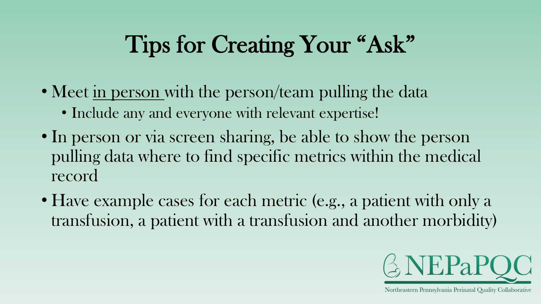## Tips for Creating Your "Ask"

- Meet in person with the person/team pulling the data
	- Include any and everyone with relevant expertise!
- In person or via screen sharing, be able to show the person pulling data where to find specific metrics within the medical record
- Have example cases for each metric (e.g., a patient with only a transfusion, a patient with a transfusion and another morbidity)

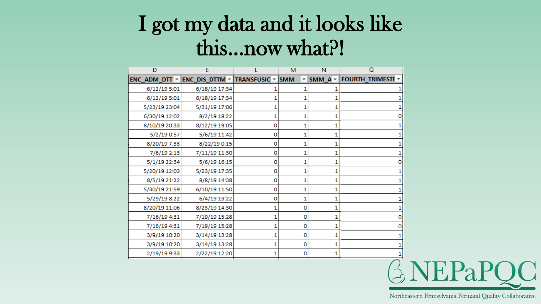#### I got my data and it looks like this…now what?!

| D             | Е                                                                                                    |   | М | N            | O                        |
|---------------|------------------------------------------------------------------------------------------------------|---|---|--------------|--------------------------|
|               | <b>ENC_ADM_DTT <math>\vee</math> ENC_DIS_DTTM <math>\vee</math> TRANSFUSIC <math>\vee</math> SMM</b> |   |   | SMM $A \neq$ | <b>FOURTH_TRIMESTE *</b> |
| 6/12/19 5:01  | 6/18/19 17:34                                                                                        |   |   |              |                          |
| 6/12/19 5:01  | 6/18/19 17:34                                                                                        |   |   |              |                          |
| 5/23/19 23:04 | 5/31/19 17:06                                                                                        |   |   |              |                          |
| 6/30/19 12:02 | 8/2/19 18:22                                                                                         | 1 | 1 |              |                          |
| 8/10/19 20:33 | 8/12/19 19:05                                                                                        | 0 | 1 |              |                          |
| 5/2/19 0:57   | 5/6/19 11:42                                                                                         | 0 | 1 |              |                          |
| 8/20/19 7:33  | 8/22/19 0:15                                                                                         | 0 | 1 |              |                          |
| 7/6/19 2:13   | 7/11/19 11:30                                                                                        | 0 |   |              |                          |
| 5/1/19 22:34  | 5/6/19 16:15                                                                                         | 0 | 1 |              |                          |
| 5/20/19 12:03 | 5/23/19 17:35                                                                                        | 0 | 1 |              |                          |
| 8/5/19 21:22  | 8/8/19 14:38                                                                                         | 0 | 1 |              |                          |
| 5/30/19 21:59 | 6/10/19 11:50                                                                                        | 0 | 1 |              |                          |
| 5/29/19 8:22  | 6/4/19 13:22                                                                                         | 0 | 1 |              |                          |
| 8/20/19 11:06 | 8/23/19 14:30                                                                                        | 1 | 0 |              |                          |
| 7/16/19 4:31  | 7/19/19 15:28                                                                                        | 1 | 0 |              |                          |
| 7/16/19 4:31  | 7/19/19 15:28                                                                                        | 1 | 0 |              |                          |
| 3/9/19 10:20  | 3/14/19 13:28                                                                                        | 1 | 0 |              |                          |
| 3/9/19 10:20  | 3/14/19 13:28                                                                                        |   | 0 |              |                          |
| 2/19/19 9:33  | 2/22/19 12:20                                                                                        | 1 | 0 |              |                          |

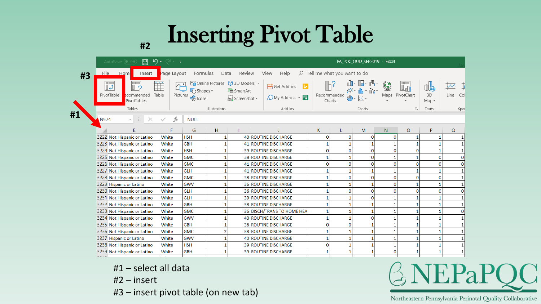### Inserting Pivot Table

|    | り・<br>AutoSave ( Off<br>⊞               | (→ – –                           |                            |               |                                                                                                                 |                                              |                                       |                       | PA_PQC_OUD_SEP2019 - Excel |                |                          |               |             |  |  |
|----|-----------------------------------------|----------------------------------|----------------------------|---------------|-----------------------------------------------------------------------------------------------------------------|----------------------------------------------|---------------------------------------|-----------------------|----------------------------|----------------|--------------------------|---------------|-------------|--|--|
| #3 | Home<br>Insert<br>File                  | Page Layout                      | Formulas                   | Data          | Review                                                                                                          | View<br>Help                                 | $\varphi$ Tell me what you want to do |                       |                            |                |                          |               |             |  |  |
|    | <b>DE</b><br>$\Box$<br>تہ∎              | ĨĨ<br>$\wedge$ .<br>$\mathbb{C}$ | <b>C</b> Shapes -          |               | $\overline{\mathbb{C}_\bullet}$ Online Pictures $\mathbb Q$ 3D Models $\sim$<br>$\sum_{n=1}^{\infty}$ Smart Art | <b>H</b> Get Add-ins                         | <b>Lď</b>                             |                       |                            |                |                          |               | $\vee$      |  |  |
|    | PivotTable<br>ecommended<br>PivotTables | Table<br>Pictures                | $\frac{1}{\sqrt{2}}$ Icons |               | $\frac{1}{2}$ Screenshot -                                                                                      | $\bigodot$ My Add-ins $\cdot$ $\overline{F}$ |                                       | Recommended<br>Charts |                            | Maps           | PivotChart               | 3D<br>$Map -$ | Line<br>Col |  |  |
|    | Tables                                  |                                  |                            | Illustrations |                                                                                                                 | Add-ins                                      |                                       |                       | Charts                     |                | $\overline{\Gamma_{21}}$ | Tours         | Spar        |  |  |
| #1 | N974<br>$\overline{\phantom{a}}$        | Ĵх                               | <b>NULL</b>                |               |                                                                                                                 |                                              |                                       |                       |                            |                |                          |               |             |  |  |
|    |                                         |                                  | G                          | H             |                                                                                                                 |                                              | K                                     |                       | M                          | N              | $\overline{O}$           | P             | Q           |  |  |
|    | 3222 Not Hispanic or Latino             | White                            | <b>HSH</b>                 |               |                                                                                                                 | 40 ROUTINE DISCHARGE                         | $\Omega$                              | $\Omega$              | $\Omega$                   | 0              |                          |               |             |  |  |
|    | 3223 Not Hispanic or Latino             | White                            | <b>GBH</b>                 |               |                                                                                                                 | 41 ROUTINE DISCHARGE                         |                                       |                       |                            | 1              |                          |               |             |  |  |
|    | 3224 Not Hispanic or Latino             | White                            | <b>HSH</b>                 |               |                                                                                                                 | <b>39 ROUTINE DISCHARGE</b>                  | $\mathbf{0}$                          | $\Omega$              | $\bf{0}$                   | $\Omega$       | $\Omega$                 |               |             |  |  |
|    | 3225 Not Hispanic or Latino             | White                            | <b>GMC</b>                 |               |                                                                                                                 | 38 ROUTINE DISCHARGE                         |                                       |                       | $\bf{0}$                   | 1              |                          | O             |             |  |  |
|    | 3226 Not Hispanic or Latino             | White                            | <b>GMC</b>                 |               |                                                                                                                 | 41 ROUTINE DISCHARGE                         | $\Omega$                              | $\bf{0}$              | $\bf{0}$                   | $\overline{0}$ | O                        | O             |             |  |  |
|    | 3227 Not Hispanic or Latino             | White                            | <b>GLH</b>                 |               |                                                                                                                 | 41 ROUTINE DISCHARGE                         |                                       |                       |                            | 1              |                          |               |             |  |  |
|    | 3228 Not Hispanic or Latino             | White                            | <b>GMC</b>                 |               |                                                                                                                 | 38 ROUTINE DISCHARGE                         |                                       | 0                     | 0                          | $\mathbf{O}$   | 0                        | O             |             |  |  |
|    | 3229 Hispanic or Latino                 | White                            | GWV                        |               |                                                                                                                 | 36 ROUTINE DISCHARGE                         |                                       |                       | 1                          | $\mathbf{O}$   |                          |               |             |  |  |
|    | 3230 Not Hispanic or Latino             | White                            | <b>GLH</b>                 |               |                                                                                                                 | 36 ROUTINE DISCHARGE                         |                                       | $\bf{0}$              | 0                          | $\overline{O}$ | $\Omega$                 | O             |             |  |  |
|    | 3231 Not Hispanic or Latino             | White                            | <b>GLH</b>                 |               |                                                                                                                 | 39 ROUTINE DISCHARGE                         |                                       |                       | 0                          | 1              |                          |               |             |  |  |
|    | 3232 Not Hispanic or Latino             | White                            | <b>GBH</b>                 |               |                                                                                                                 | 38 ROUTINE DISCHARGE                         |                                       |                       |                            | 1              |                          |               |             |  |  |
|    | 3233 Not Hispanic or Latino             | White                            | <b>GMC</b>                 |               |                                                                                                                 | 36 DISCH/TRANS TO HOME HEA                   |                                       |                       | 1                          | 1              |                          |               |             |  |  |
|    | 3234 Not Hispanic or Latino             | White                            | GWV                        |               |                                                                                                                 | 40 ROUTINE DISCHARGE                         |                                       |                       | 0                          | 1              |                          |               |             |  |  |
|    | 3235 Not Hispanic or Latino             | White                            | <b>GBH</b>                 |               |                                                                                                                 | 36 ROUTINE DISCHARGE                         | $\mathbf{0}$                          | $\bf{0}$              | 1                          | 1              |                          |               |             |  |  |
|    | 3236 Not Hispanic or Latino             | White                            | <b>GMC</b>                 |               |                                                                                                                 | 38 ROUTINE DISCHARGE                         |                                       |                       |                            | 1              |                          |               |             |  |  |
|    | 3237 Hispanic or Latino                 | White                            | GWV                        |               |                                                                                                                 | 40 ROUTINE DISCHARGE                         |                                       | 1                     | 1                          | 1              |                          |               |             |  |  |
|    | 3238 Not Hispanic or Latino             | White                            | <b>HSH</b>                 |               |                                                                                                                 | 39 ROUTINE DISCHARGE                         | $\Omega$                              | 1                     | 1                          | 1              |                          |               |             |  |  |
|    | 3239 Not Hispanic or Latino             | White                            | <b>GBH</b>                 |               |                                                                                                                 | <b>39 ROUTINE DISCHARGE</b>                  |                                       |                       | 1                          | $\mathbf{O}$   |                          |               |             |  |  |
|    |                                         |                                  |                            |               |                                                                                                                 |                                              |                                       |                       |                            |                |                          |               |             |  |  |

#1 – select all data

**#2**

- #2 insert
- #3 insert pivot table (on new tab)

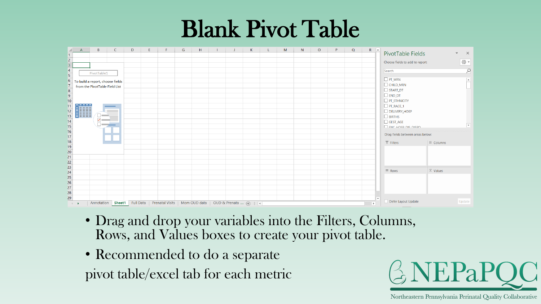#### Blank Pivot Table



- Drag and drop your variables into the Filters, Columns, Rows, and Values boxes to create your pivot table.
- Recommended to do a separate pivot table/excel tab for each metric

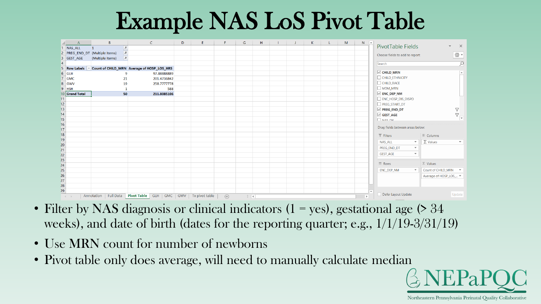### Example NAS LoS Pivot Table

|                       | $\overline{A}$              | B                              |                 | $\mathsf{C}$                               | D | E.             | F           | G        | H |  | K | M | $N - 4$        |                                           |                          |                        | $\overline{\phantom{a}}$      |
|-----------------------|-----------------------------|--------------------------------|-----------------|--------------------------------------------|---|----------------|-------------|----------|---|--|---|---|----------------|-------------------------------------------|--------------------------|------------------------|-------------------------------|
|                       | 1 NAS ALL                   | $\mathbf{1}$                   | $\vert x \vert$ |                                            |   |                |             |          |   |  |   |   |                | PivotTable Fields                         |                          |                        | $\times$                      |
|                       |                             | 2 PREG_END_DT (Multiple Items) | $\overline{r}$  |                                            |   |                |             |          |   |  |   |   |                | Choose fields to add to report:           |                          |                        | ⊗ ≁                           |
|                       | 3 GEST_AGE                  | (Multiple Items)               | $ \pi $         |                                            |   |                |             |          |   |  |   |   |                |                                           |                          |                        |                               |
|                       |                             |                                |                 |                                            |   |                |             |          |   |  |   |   |                | Search                                    |                          |                        | $\alpha$                      |
|                       | 5 Row Labels -              |                                |                 | Count of CHILD_MRN Average of HOSP_LOS_HRS |   |                |             |          |   |  |   |   |                |                                           |                          |                        |                               |
|                       | $6$ GLH                     |                                | 9               | 97.88888889                                |   |                |             |          |   |  |   |   |                | $\vee$ CHILD_MRN                          |                          |                        | $\overline{\phantom{a}}$      |
|                       | 7 GMC                       |                                | 21              | 201.4736842                                |   |                |             |          |   |  |   |   |                | $\fbox{\parbox{1.5cm}CHILD_ETHNICITY}$    |                          |                        |                               |
|                       | 8 GWV                       |                                | 19              | 258.7777778                                |   |                |             |          |   |  |   |   |                | $\Box \hspace{0.05cm} \text{CHILD\_RACE}$ |                          |                        |                               |
|                       | $9$ HSH                     |                                | $\mathbf{1}$    | 588                                        |   |                |             |          |   |  |   |   |                | MOM_MRN                                   |                          |                        |                               |
|                       | 10 Grand Total              |                                | 50              | 211.8085106                                |   |                |             |          |   |  |   |   |                | $\vee$ ENC_DEP_NM                         |                          |                        |                               |
| 11                    |                             |                                |                 |                                            |   |                |             |          |   |  |   |   |                | ENC_HOSP_DIS_DISPO                        |                          |                        |                               |
| $\frac{12}{13}$       |                             |                                |                 |                                            |   |                |             |          |   |  |   |   |                | PREG_START_DT                             |                          |                        |                               |
|                       |                             |                                |                 |                                            |   |                |             |          |   |  |   |   |                | $\vee$ PREG_END_DT                        |                          |                        | $\boldsymbol{\nabla}$         |
| 14                    |                             |                                |                 |                                            |   |                |             |          |   |  |   |   |                | $\vee$ GEST_AGE                           |                          |                        | 7<br>$\overline{\phantom{a}}$ |
| 15                    |                             |                                |                 |                                            |   |                |             |          |   |  |   |   |                | <b>NAS DY</b>                             |                          |                        |                               |
| 16<br>$\overline{17}$ |                             |                                |                 |                                            |   |                |             |          |   |  |   |   |                | Drag fields between areas below:          |                          |                        |                               |
| 18                    |                             |                                |                 |                                            |   |                |             |          |   |  |   |   |                |                                           |                          |                        |                               |
| 19                    |                             |                                |                 |                                            |   |                |             |          |   |  |   |   |                | $\overline{\mathbb{T}}$ Filters           |                          | III Columns            |                               |
| 20                    |                             |                                |                 |                                            |   |                |             |          |   |  |   |   |                | NAS_ALL                                   | $\mathbf{v}$             | $\Sigma$ Values        | $\overline{\phantom{a}}$      |
| 21                    |                             |                                |                 |                                            |   |                |             |          |   |  |   |   |                | PREG_END_DT                               | $\blacktriangledown$     |                        |                               |
| 22                    |                             |                                |                 |                                            |   |                |             |          |   |  |   |   |                | <b>GEST_AGE</b>                           | $\overline{\phantom{a}}$ |                        |                               |
| 23                    |                             |                                |                 |                                            |   |                |             |          |   |  |   |   |                |                                           |                          |                        |                               |
| 24                    |                             |                                |                 |                                            |   |                |             |          |   |  |   |   |                | $\equiv$ Rows                             |                          | $\Sigma$ Values        |                               |
| 25                    |                             |                                |                 |                                            |   |                |             |          |   |  |   |   |                | ENC_DEP_NM                                | $\mathbf{w}$             | Count of CHILD_MRN ▼   |                               |
| 26                    |                             |                                |                 |                                            |   |                |             |          |   |  |   |   |                |                                           |                          | Average of HOSP_LOS_ ▼ |                               |
| 27                    |                             |                                |                 |                                            |   |                |             |          |   |  |   |   |                |                                           |                          |                        |                               |
| 28                    |                             |                                |                 |                                            |   |                |             |          |   |  |   |   |                |                                           |                          |                        |                               |
| 29                    |                             |                                |                 |                                            |   |                |             |          |   |  |   |   |                |                                           |                          |                        |                               |
|                       | $\mathcal{A} = \mathcal{A}$ | Annotation   Full Data         |                 | Pivot Table   GLH   GMC   GWV              |   | Tx pivot table | $\bigoplus$ | $\pm$ 30 |   |  |   |   | $\overline{b}$ | Defer Layout Update                       |                          |                        | Update                        |

- Filter by NAS diagnosis or clinical indicators  $(1 \text{yes})$ , gestational age (> 34) weeks), and date of birth (dates for the reporting quarter; e.g., 1/1/19-3/31/19)
- Use MRN count for number of newborns
- Pivot table only does average, will need to manually calculate median

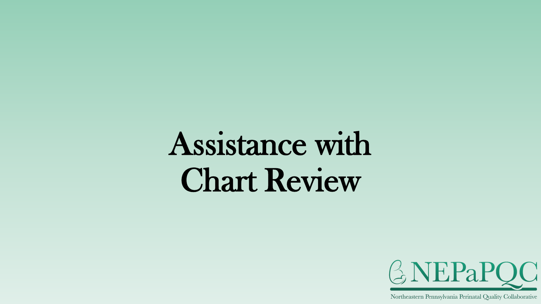# Assistance with Chart Review

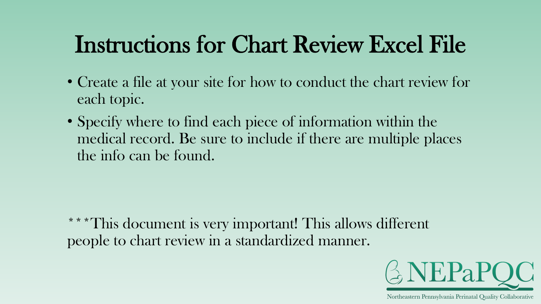### Instructions for Chart Review Excel File

- Create a file at your site for how to conduct the chart review for each topic.
- Specify where to find each piece of information within the medical record. Be sure to include if there are multiple places the info can be found.

\*\*\*This document is very important! This allows different people to chart review in a standardized manner.

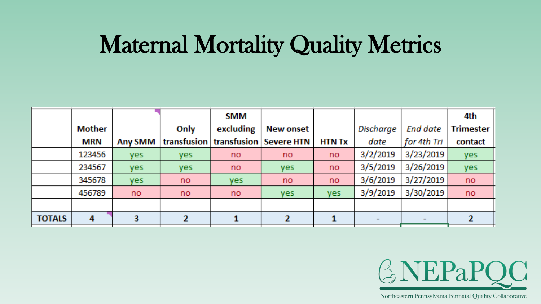#### Maternal Mortality Quality Metrics

|               |               |                |            | <b>SMM</b>                         |                  |               |           |                 | 4th              |
|---------------|---------------|----------------|------------|------------------------------------|------------------|---------------|-----------|-----------------|------------------|
|               | <b>Mother</b> |                | Only       | excluding                          | <b>New onset</b> |               | Discharge | <b>End date</b> | <b>Trimester</b> |
|               | MRN           | <b>Any SMM</b> |            | transfusion transfusion Severe HTN |                  | <b>HTN Tx</b> | date      | for 4th Tri     | contact          |
|               | 123456        | yes            | <b>yes</b> | no                                 | no.              | no            | 3/2/2019  | 3/23/2019       | <b>yes</b>       |
|               | 234567        | yes            | yes.       | no                                 | yes.             | no            | 3/5/2019  | 3/26/2019       | yes              |
|               | 345678        | yes            | no         | yes                                | no.              | no            | 3/6/2019  | 3/27/2019       | no               |
|               | 456789        | no.            | no         | no                                 | yes.             | <b>yes</b>    | 3/9/2019  | 3/30/2019       | no               |
|               |               |                |            |                                    |                  |               |           |                 |                  |
| <b>TOTALS</b> | 4             |                |            |                                    | Ф.               |               |           |                 |                  |

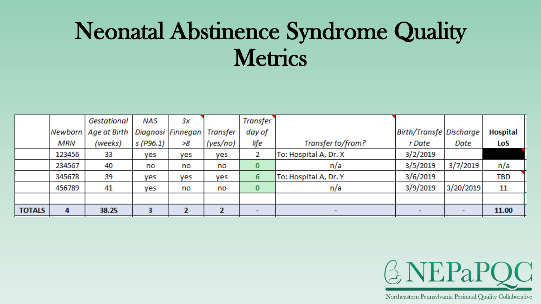### Neonatal Abstinence Syndrome Quality **Metrics**

|               |        | Gestational            | NAS       | 3x                |          | <b>Transfer</b>          |                       |                          |                          |                 |
|---------------|--------|------------------------|-----------|-------------------|----------|--------------------------|-----------------------|--------------------------|--------------------------|-----------------|
|               |        | Newborn   Age at Birth |           | Diagnosi Finnegan | Transfer | day of                   |                       | Birth/Transfe Discharge  |                          | <b>Hospital</b> |
|               | MRN    | (weeks)                | s (P96.1) | >8                | (yes/no) | life                     | Transfer to/from?     | r Date                   | Date                     | LoS             |
|               | 123456 | 33                     | yes       | yes               | yes      |                          | To: Hospital A, Dr. X | 3/2/2019                 |                          |                 |
|               | 234567 | 40                     | no        | no                | no       | 0                        | n/a                   | 3/5/2019                 | 3/7/2019                 | n/a             |
|               | 345678 | 39                     | yes       | yes               | yes      | 6                        | To: Hospital A, Dr. Y | 3/6/2019                 |                          | TBD             |
|               | 456789 | 41                     | yes       | no                | no       | 0                        | n/a                   | 3/9/2019                 | 3/20/2019                | 11              |
|               |        |                        |           |                   |          |                          |                       |                          |                          |                 |
| <b>TOTALS</b> | 4      | 38.25                  |           |                   |          | $\overline{\phantom{a}}$ | $\sim$                | $\overline{\phantom{0}}$ | $\overline{\phantom{a}}$ | 11.00           |

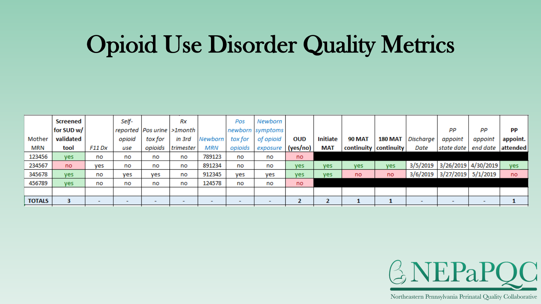### Opioid Use Disorder Quality Metrics

|               | Screened   |        | Self-  |         | Rx                             |            | Pos     | Newborn                  |            |                   |                         |                |           |                              |                          |          |
|---------------|------------|--------|--------|---------|--------------------------------|------------|---------|--------------------------|------------|-------------------|-------------------------|----------------|-----------|------------------------------|--------------------------|----------|
|               | for SUD w/ |        |        |         | reported   Pos urine   >1month |            |         | newborn symptoms         |            |                   |                         |                |           | PP                           | PР                       | РP       |
| Mother        | validated  |        | opioid | tox for | in 3rd                         | Newborn    | tox for | of opioid                | <b>OUD</b> | <b>Initiate</b>   | <b>90 MAT</b>           | <b>180 MAT</b> | Discharge | appoint                      | appoint                  | appoint. |
| <b>MRN</b>    | tool       | F11 Dx | use    | opioids | trimester                      | <b>MRN</b> | opioids | exposure                 | (yes/no)   | <b>MAT</b>        | continuity   continuity |                | Date      | state date                   | end date                 | attended |
| 123456        | yes.       | no     | no     | no      | no                             | 789123     | no      | no                       | no         |                   |                         |                |           |                              |                          |          |
| 234567        | no.        | ves    | no     | no      | no                             | 891234     | no      | no                       | yes.       | ves               | yes                     | yes            |           | 3/5/2019 3/26/2019 4/30/2019 |                          | yes      |
| 345678        | yes        | no     | ves    | yes     | no                             | 912345     | yes     | yes                      | ves        | yes               | no                      | no             |           | 3/6/2019 3/27/2019 5/1/2019  |                          | no       |
| 456789        | <b>ves</b> | no     | no     | no      | no                             | 124578     | no      | no                       | no         |                   |                         |                |           |                              |                          |          |
|               |            |        |        |         |                                |            |         |                          |            |                   |                         |                |           |                              |                          |          |
| <b>TOTALS</b> |            |        |        |         |                                |            |         | $\overline{\phantom{a}}$ |            | <b>CONTRACTOR</b> |                         |                |           | $\overline{\phantom{0}}$     | $\overline{\phantom{0}}$ |          |